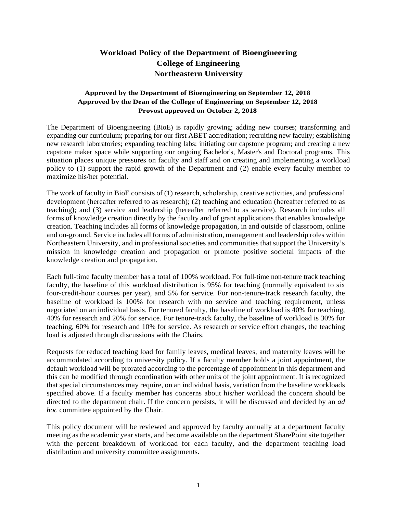## **Workload Policy of the Department of Bioengineering College of Engineering Northeastern University**

## **Approved by the Department of Bioengineering on September 12, 2018 Approved by the Dean of the College of Engineering on September 12, 2018 Provost approved on October 2, 2018**

The Department of Bioengineering (BioE) is rapidly growing; adding new courses; transforming and expanding our curriculum; preparing for our first ABET accreditation; recruiting new faculty; establishing new research laboratories; expanding teaching labs; initiating our capstone program; and creating a new capstone maker space while supporting our ongoing Bachelor's, Master's and Doctoral programs. This situation places unique pressures on faculty and staff and on creating and implementing a workload policy to (1) support the rapid growth of the Department and (2) enable every faculty member to maximize his/her potential.

The work of faculty in BioE consists of (1) research, scholarship, creative activities, and professional development (hereafter referred to as research); (2) teaching and education (hereafter referred to as teaching); and (3) service and leadership (hereafter referred to as service). Research includes all forms of knowledge creation directly by the faculty and of grant applications that enables knowledge creation. Teaching includes all forms of knowledge propagation, in and outside of classroom, online and on-ground. Service includes all forms of administration, management and leadership roles within Northeastern University, and in professional societies and communities that support the University's mission in knowledge creation and propagation or promote positive societal impacts of the knowledge creation and propagation.

Each full-time faculty member has a total of 100% workload. For full-time non-tenure track teaching faculty, the baseline of this workload distribution is 95% for teaching (normally equivalent to six four-credit-hour courses per year), and 5% for service. For non-tenure-track research faculty, the baseline of workload is 100% for research with no service and teaching requirement, unless negotiated on an individual basis. For tenured faculty, the baseline of workload is 40% for teaching, 40% for research and 20% for service. For tenure-track faculty, the baseline of workload is 30% for teaching, 60% for research and 10% for service. As research or service effort changes, the teaching load is adjusted through discussions with the Chairs.

Requests for reduced teaching load for family leaves, medical leaves, and maternity leaves will be accommodated according to university policy. If a faculty member holds a joint appointment, the default workload will be prorated according to the percentage of appointment in this department and this can be modified through coordination with other units of the joint appointment. It is recognized that special circumstances may require, on an individual basis, variation from the baseline workloads specified above. If a faculty member has concerns about his/her workload the concern should be directed to the department chair. If the concern persists, it will be discussed and decided by an *ad hoc* committee appointed by the Chair.

This policy document will be reviewed and approved by faculty annually at a department faculty meeting as the academic year starts, and become available on the department SharePoint site together with the percent breakdown of workload for each faculty, and the department teaching load distribution and university committee assignments.